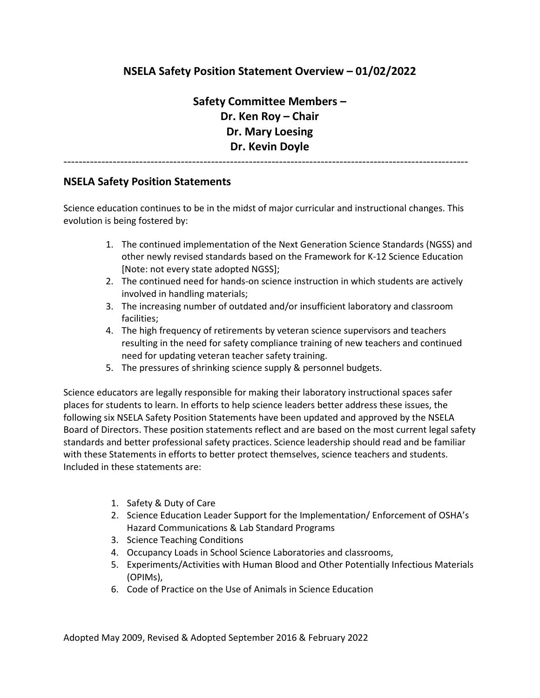## **NSELA Safety Position Statement Overview – 01/02/2022**

**Safety Committee Members – Dr. Ken Roy – Chair Dr. Mary Loesing Dr. Kevin Doyle**

-----------------------------------------------------------------------------------------------------------

## **NSELA Safety Position Statements**

Science education continues to be in the midst of major curricular and instructional changes. This evolution is being fostered by:

- 1. The continued implementation of the Next Generation Science Standards (NGSS) and other newly revised standards based on the Framework for K-12 Science Education [Note: not every state adopted NGSS];
- 2. The continued need for hands-on science instruction in which students are actively involved in handling materials;
- 3. The increasing number of outdated and/or insufficient laboratory and classroom facilities;
- 4. The high frequency of retirements by veteran science supervisors and teachers resulting in the need for safety compliance training of new teachers and continued need for updating veteran teacher safety training.
- 5. The pressures of shrinking science supply & personnel budgets.

Science educators are legally responsible for making their laboratory instructional spaces safer places for students to learn. In efforts to help science leaders better address these issues, the following six NSELA Safety Position Statements have been updated and approved by the NSELA Board of Directors. These position statements reflect and are based on the most current legal safety standards and better professional safety practices. Science leadership should read and be familiar with these Statements in efforts to better protect themselves, science teachers and students. Included in these statements are:

- 1. Safety & Duty of Care
- 2. Science Education Leader Support for the Implementation/ Enforcement of OSHA's Hazard Communications & Lab Standard Programs
- 3. Science Teaching Conditions
- 4. Occupancy Loads in School Science Laboratories and classrooms,
- 5. Experiments/Activities with Human Blood and Other Potentially Infectious Materials (OPIMs),
- 6. Code of Practice on the Use of Animals in Science Education